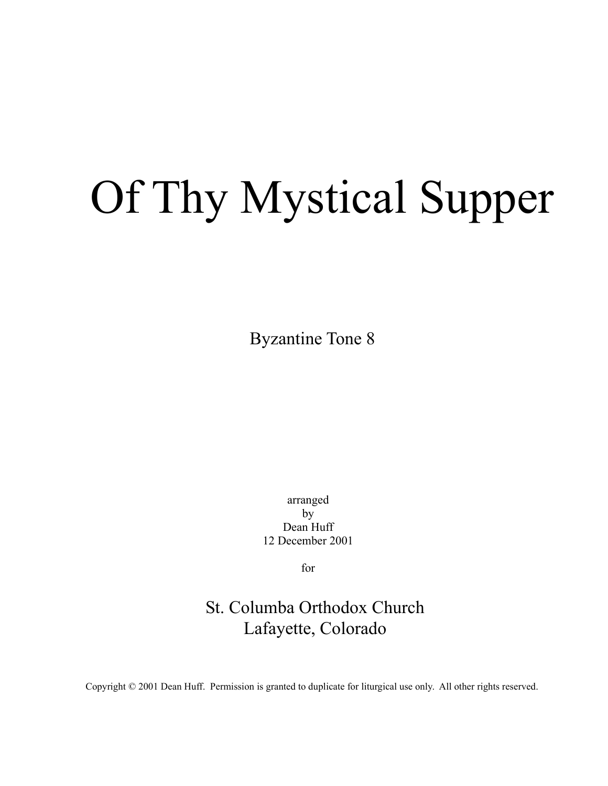## Of Thy Mystical Supper

Byzantine Tone 8

arranged by Dean Huff 12 December 2001

for

## St. Columba Orthodox Church Lafayette, Colorado

Copyright © 2001 Dean Huff. Permission is granted to duplicate for liturgical use only. All other rights reserved.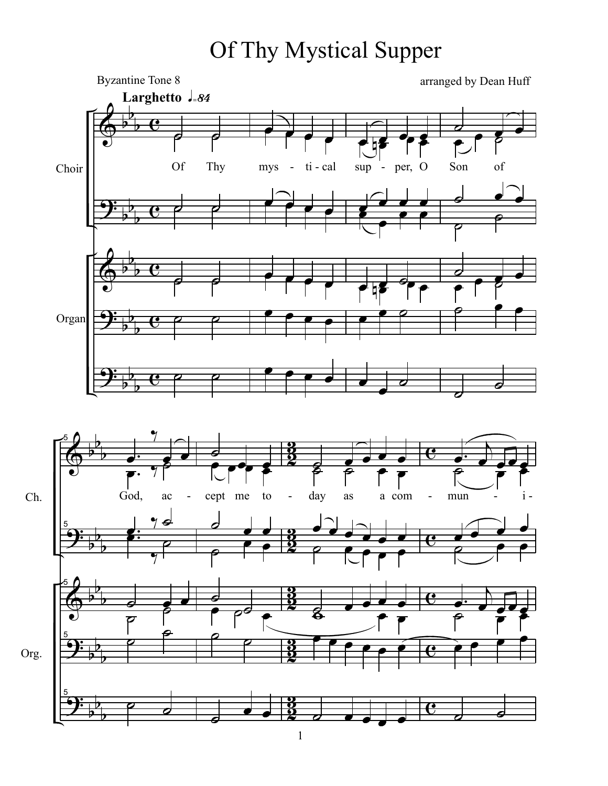## Of Thy Mystical Supper

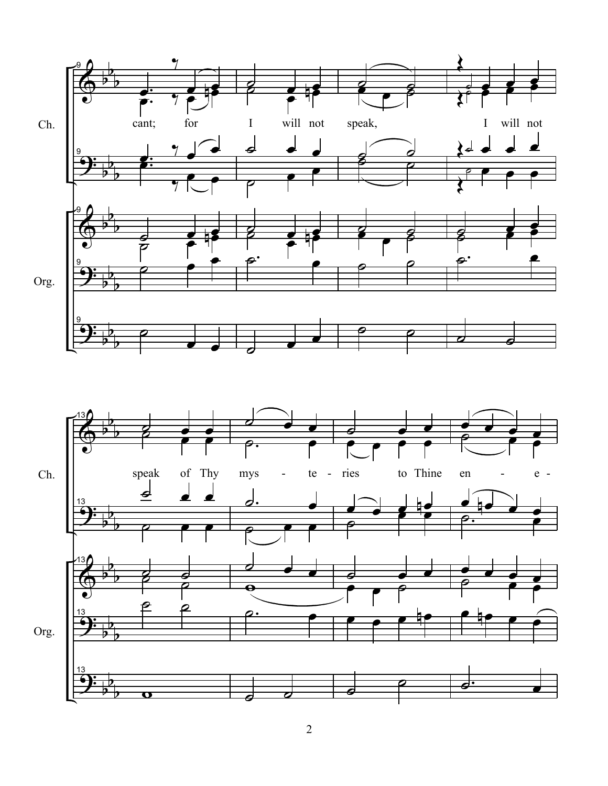

2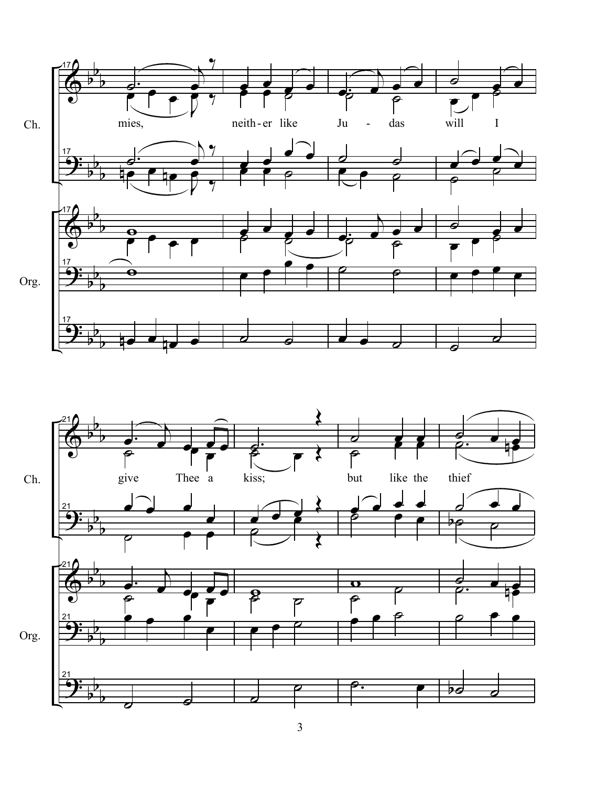